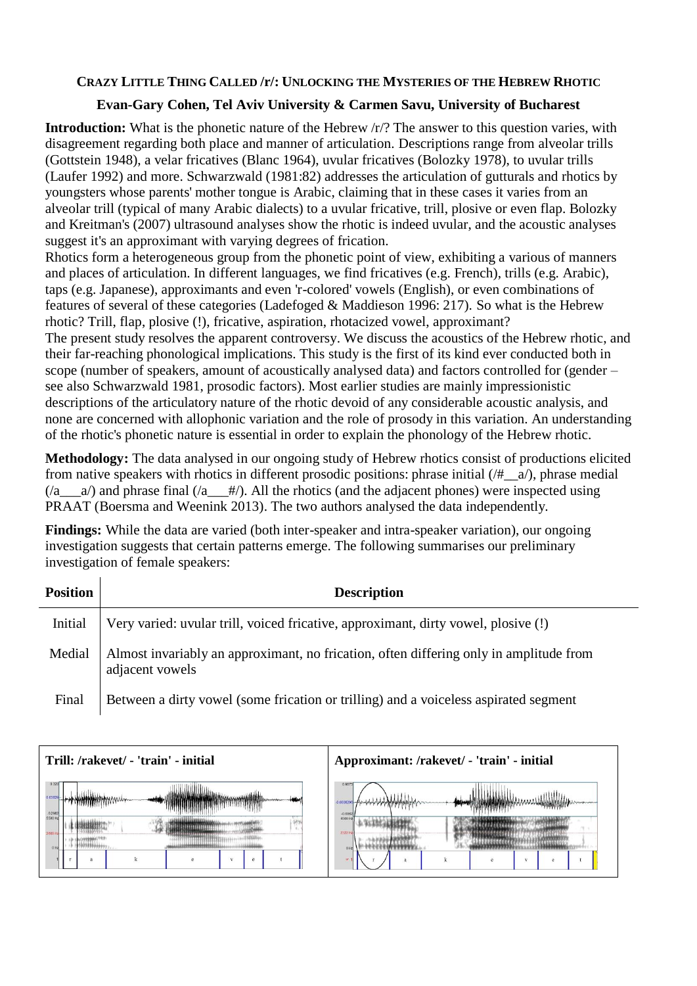## **CRAZY LITTLE THING CALLED /r/: UNLOCKING THE MYSTERIES OF THE HEBREW RHOTIC**

## **Evan-Gary Cohen, Tel Aviv University & Carmen Savu, University of Bucharest**

**Introduction:** What is the phonetic nature of the Hebrew  $\langle r \rangle$ ? The answer to this question varies, with disagreement regarding both place and manner of articulation. Descriptions range from alveolar trills (Gottstein 1948), a velar fricatives (Blanc 1964), uvular fricatives (Bolozky 1978), to uvular trills (Laufer 1992) and more. Schwarzwald (1981:82) addresses the articulation of gutturals and rhotics by youngsters whose parents' mother tongue is Arabic, claiming that in these cases it varies from an alveolar trill (typical of many Arabic dialects) to a uvular fricative, trill, plosive or even flap. Bolozky and Kreitman's (2007) ultrasound analyses show the rhotic is indeed uvular, and the acoustic analyses suggest it's an approximant with varying degrees of frication.

Rhotics form a heterogeneous group from the phonetic point of view, exhibiting a various of manners and places of articulation. In different languages, we find fricatives (e.g. French), trills (e.g. Arabic), taps (e.g. Japanese), approximants and even 'r-colored' vowels (English), or even combinations of features of several of these categories (Ladefoged & Maddieson 1996: 217). So what is the Hebrew rhotic? Trill, flap, plosive (!), fricative, aspiration, rhotacized vowel, approximant? The present study resolves the apparent controversy. We discuss the acoustics of the Hebrew rhotic, and their far-reaching phonological implications. This study is the first of its kind ever conducted both in scope (number of speakers, amount of acoustically analysed data) and factors controlled for (gender – see also Schwarzwald 1981, prosodic factors). Most earlier studies are mainly impressionistic descriptions of the articulatory nature of the rhotic devoid of any considerable acoustic analysis, and none are concerned with allophonic variation and the role of prosody in this variation. An understanding of the rhotic's phonetic nature is essential in order to explain the phonology of the Hebrew rhotic.

**Methodology:** The data analysed in our ongoing study of Hebrew rhotics consist of productions elicited from native speakers with rhotics in different prosodic positions: phrase initial (/#\_\_a/), phrase medial  $(2a - a)$  and phrase final  $(2a + b)$ . All the rhotics (and the adjacent phones) were inspected using PRAAT (Boersma and Weenink 2013). The two authors analysed the data independently.

**Findings:** While the data are varied (both inter-speaker and intra-speaker variation), our ongoing investigation suggests that certain patterns emerge. The following summarises our preliminary investigation of female speakers:

| <b>Position</b> | <b>Description</b>                                                                                        |
|-----------------|-----------------------------------------------------------------------------------------------------------|
| Initial         | Very varied: uvular trill, voiced fricative, approximant, dirty vowel, plosive (!)                        |
| Medial          | Almost invariably an approximant, no frication, often differing only in amplitude from<br>adjacent vowels |
| Final           | Between a dirty vowel (some frication or trilling) and a voiceless aspirated segment                      |